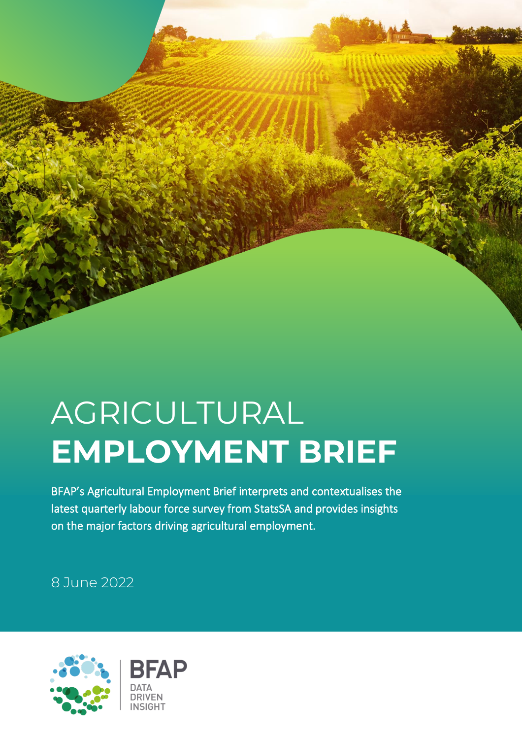## AGRICULTURAL **EMPLOYMENT BRIEF**

BFAP's Agricultural Employment Brief interprets and contextualises the latest quarterly labour force survey from StatsSA and provides insights on the major factors driving agricultural employment.

8 June 2022

 $\overline{a}$ 

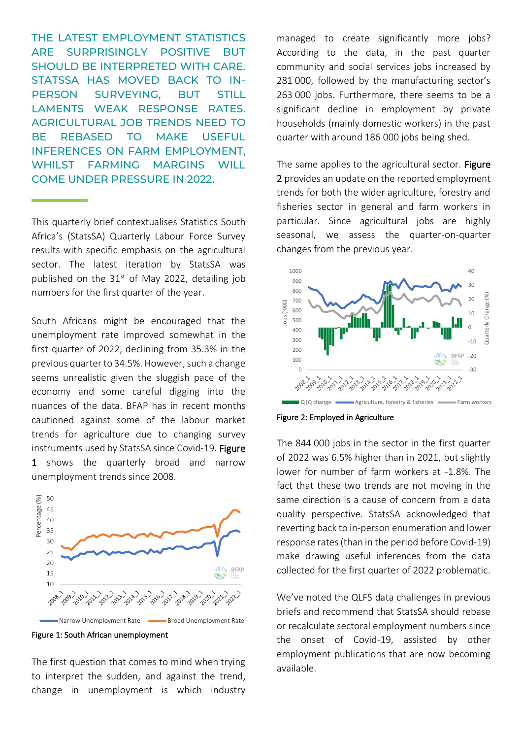THE LATEST EMPLOYMENT STATISTICS ARE SURPRISINGLY POSITIVE BUT SHOULD BE INTERPRETED WITH CARE. STATSSA HAS MOVED BACK TO IN-PERSON SURVEYING, BUT STILL LAMENTS WEAK RESPONSE RATES. AGRICULTURAL JOB TRENDS NEED TO BE REBASED TO MAKE USEFUL INFERENCES ON FARM EMPLOYMENT, WHILST FARMING MARGINS WILL COME UNDER PRESSURE IN 2022.

This quarterly brief contextualises Statistics South Africa's (StatsSA) Quarterly Labour Force Survey results with specific emphasis on the agricultural sector. The latest iteration by StatsSA was published on the  $31<sup>st</sup>$  of May 2022, detailing job numbers for the first quarter of the year.

South Africans might be encouraged that the unemployment rate improved somewhat in the first quarter of 2022, declining from 35.3% in the previous quarter to 34.5%. However, such a change seems unrealistic given the sluggish pace of the economy and some careful digging into the nuances of the data. BFAP has in recent months cautioned against some of the labour market trends for agriculture due to changing survey instruments used by StatsSA since Covid-19. Figure 1 shows the quarterly broad and narrow unemployment trends since 2008.



Figure 1: South African unemployment

The first question that comes to mind when trying to interpret the sudden, and against the trend, change in unemployment is which industry managed to create significantly more jobs? According to the data, in the past quarter community and social services jobs increased by 281 000, followed by the manufacturing sector's 263 000 jobs. Furthermore, there seems to be a significant decline in employment by private households (mainly domestic workers) in the past quarter with around 186 000 jobs being shed.

The same applies to the agricultural sector. Figure 2 provides an update on the reported employment trends for both the wider agriculture, forestry and fisheries sector in general and farm workers in particular. Since agricultural jobs are highly seasonal, we assess the quarter-on-quarter changes from the previous year.



Figure 2: Employed in Agriculture

The 844 000 jobs in the sector in the first quarter of 2022 was 6.5% higher than in 2021, but slightly lower for number of farm workers at -1.8%. The fact that these two trends are not moving in the same direction is a cause of concern from a data quality perspective. StatsSA acknowledged that reverting back to in-person enumeration and lower response rates (than in the period before Covid-19) make drawing useful inferences from the data collected for the first quarter of 2022 problematic.

We've noted the QLFS data challenges in previous briefs and recommend that StatsSA should rebase or recalculate sectoral employment numbers since the onset of Covid-19, assisted by other employment publications that are now becoming available.